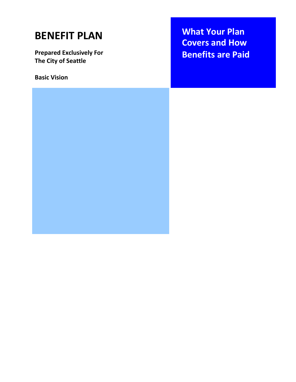# **BENEFIT PLAN**

**Prepared Exclusively For The City of Seattle**

**Basic Vision**

**What Your Plan Covers and How Benefits are Paid**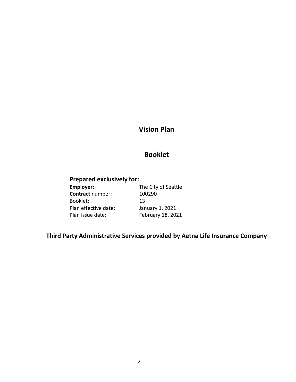# **Vision Plan**

# **Booklet**

# **Prepared exclusively for:**

| Employer:               | The City of Seattle |
|-------------------------|---------------------|
| <b>Contract number:</b> | 100290              |
| Booklet:                | 13                  |
| Plan effective date:    | January 1, 2021     |
| Plan issue date:        | February 18, 2021   |

# **Third Party Administrative Services provided by Aetna Life Insurance Company**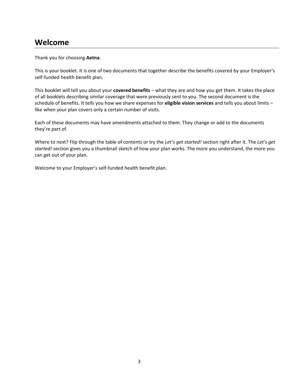# **Welcome**

Thank you for choosing **Aetna**.

This is your booklet. It is one of two documents that together describe the benefits covered by your Employer's self-funded health benefit plan.

This booklet will tell you about your **covered benefits** – what they are and how you get them. It takes the place of all booklets describing similar coverage that were previously sent to you. The second document is the schedule of benefits. It tells you how we share expenses for **eligible vision services** and tells you about limits – like when your plan covers only a certain number of visits.

Each of these documents may have amendments attached to them. They change or add to the documents they're part of.

Where to next? Flip through the table of contents or try the *Let's get started!* section right after it. The *Let's get started!* section gives you a thumbnail sketch of how your plan works. The more you understand, the more you can get out of your plan.

Welcome to your Employer's self-funded health benefit plan.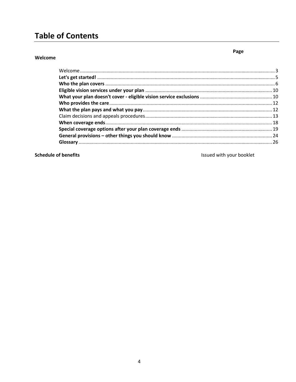# **Table of Contents**

#### Welcome

Page

**Schedule of benefits** 

Issued with your booklet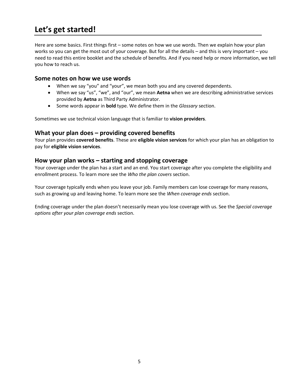# **Let's get started!**

Here are some basics. First things first – some notes on how we use words. Then we explain how your plan works so you can get the most out of your coverage. But for all the details – and this is very important – you need to read this entire booklet and the schedule of benefits. And if you need help or more information, we tell you how to reach us.

### **Some notes on how we use words**

- When we say "you" and "your", we mean both you and any covered dependents.
- When we say "us", "we", and "our", we mean **Aetna** when we are describing administrative services provided by **Aetna** as Third Party Administrator.
- Some words appear in **bold** type. We define them in the *Glossary* section.

Sometimes we use technical vision language that is familiar to **vision providers**.

### **What your plan does – providing covered benefits**

Your plan provides **covered benefits**. These are **eligible vision services** for which your plan has an obligation to pay for **eligible vision services**.

### **How your plan works – starting and stopping coverage**

Your coverage under the plan has a start and an end. You start coverage after you complete the eligibility and enrollment process. To learn more see the *Who the plan covers* section.

Your coverage typically ends when you leave your job. Family members can lose coverage for many reasons, such as growing up and leaving home. To learn more see the *When coverage ends* section.

Ending coverage under the plan doesn't necessarily mean you lose coverage with us. See the *Special coverage options after your plan coverage ends* section.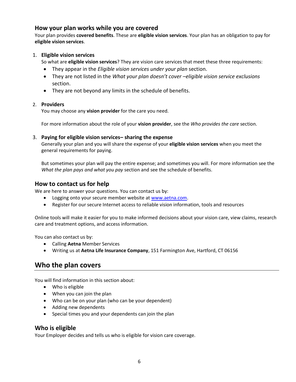# **How your plan works while you are covered**

Your plan provides **covered benefits**. These are **eligible vision services**. Your plan has an obligation to pay for **eligible vision services**.

### 1. **Eligible vision services**

So what are **eligible vision services**? They are vision care services that meet these three requirements:

- They appear in the *Eligible vision services under your plan* section.
- They are not listed in the *What your plan doesn't cover –eligible vision service exclusions* section.
- They are not beyond any limits in the schedule of benefits.

### 2. **Providers**

You may choose any **vision provider** for the care you need.

For more information about the role of your **vision provider**, see the *Who provides the care* section.

### 3. **Paying for eligible vision services– sharing the expense**

Generally your plan and you will share the expense of your **eligible vision services** when you meet the general requirements for paying.

But sometimes your plan will pay the entire expense; and sometimes you will. For more information see the *What the plan pays and what you pay* section and see the schedule of benefits.

# **How to contact us for help**

We are here to answer your questions. You can contact us by:

- Logging onto your secure member website at [www.aetna.com.](http://epubdms.aetna.com/otcsdav/nodes/341246639/www.aetna.com)
- Register for our secure Internet access to reliable vision information, tools and resources

Online tools will make it easier for you to make informed decisions about your vision care, view claims, research care and treatment options, and access information.

You can also contact us by:

- Calling **Aetna** Member Services
- Writing us at **Aetna Life Insurance Company**, 151 Farmington Ave, Hartford, CT 06156

# **Who the plan covers**

You will find information in this section about:

- Who is eligible
- When you can join the plan
- Who can be on your plan (who can be your dependent)
- Adding new dependents
- Special times you and your dependents can join the plan

# **Who is eligible**

Your Employer decides and tells us who is eligible for vision care coverage.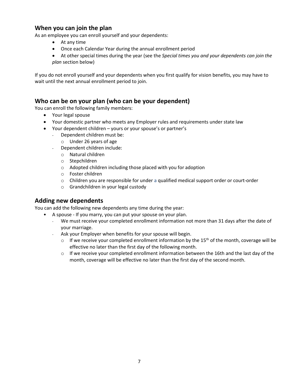# **When you can join the plan**

As an employee you can enroll yourself and your dependents:

- At any time
- Once each Calendar Year during the annual enrollment period
- At other special times during the year (see the *Special times you and your dependents can join the plan* section below)

If you do not enroll yourself and your dependents when you first qualify for vision benefits, you may have to wait until the next annual enrollment period to join.

# **Who can be on your plan (who can be your dependent)**

You can enroll the following family members:

- Your legal spouse
- Your domestic partner who meets any Employer rules and requirements under state law
- Your dependent children yours or your spouse's or partner's
	- Dependent children must be:
		- o Under 26 years of age
	- Dependent children include:
		- o Natural children
		- o Stepchildren
		- o Adopted children including those placed with you for adoption
		- o Foster children
		- o Children you are responsible for under a qualified medical support order or court-order
		- o Grandchildren in your legal custody

# **Adding new dependents**

You can add the following new dependents any time during the year:

- A spouse If you marry, you can put your spouse on your plan.
	- We must receive your completed enrollment information not more than 31 days after the date of your marriage.
	- Ask your Employer when benefits for your spouse will begin.
		- $\circ$  If we receive your completed enrollment information by the 15<sup>th</sup> of the month, coverage will be effective no later than the first day of the following month.
		- $\circ$  If we receive your completed enrollment information between the 16th and the last day of the month, coverage will be effective no later than the first day of the second month.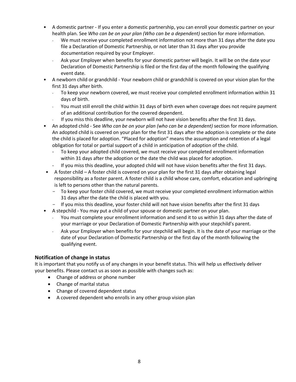- A domestic partner If you enter a domestic partnership, you can enroll your domestic partner on your health plan. See *Who can be on your plan (Who can be a dependent)* section for more information.
	- We must receive your completed enrollment information not more than 31 days after the date you file a Declaration of Domestic Partnership, or not later than 31 days after you provide documentation required by your Employer.
	- Ask your Employer when benefits for your domestic partner will begin. It will be on the date your Declaration of Domestic Partnership is filed or the first day of the month following the qualifying event date.
- A newborn child or grandchild Your newborn child or grandchild is covered on your vision plan for the first 31 days after birth.
	- To keep your newborn covered, we must receive your completed enrollment information within 31 days of birth.
	- You must still enroll the child within 31 days of birth even when coverage does not require payment of an additional contribution for the covered dependent.
	- If you miss this deadline, your newborn will not have vision benefits after the first 31 days.
- An adopted child See *Who can be on your plan (who can be a dependent)* section for more information. An adopted child is covered on your plan for the first 31 days after the adoption is complete or the date the child is placed for adoption. "Placed for adoption" means the assumption and retention of a legal obligation for total or partial support of a child in anticipation of adoption of the child.
	- To keep your adopted child covered, we must receive your completed enrollment information within 31 days after the adoption or the date the child was placed for adoption.
	- If you miss this deadline, your adopted child will not have vision benefits after the first 31 days.
- A foster child A foster child is covered on your plan for the first 31 days after obtaining legal responsibility as a foster parent. A foster child is a child whose care, comfort, education and upbringing is left to persons other than the natural parents.
	- To keep your foster child covered, we must receive your completed enrollment information within 31 days after the date the child is placed with you.
	- If you miss this deadline, your foster child will not have vision benefits after the first 31 days
- A stepchild You may put a child of your spouse or domestic partner on your plan.
	- You must complete your enrollment information and send it to us within 31 days after the date of your marriage or your Declaration of Domestic Partnership with your stepchild's parent.
	- Ask your Employer when benefits for your stepchild will begin. It is the date of your marriage or the date of your Declaration of Domestic Partnership or the first day of the month following the qualifying event.

# **Notification of change in status**

It is important that you notify us of any changes in your benefit status. This will help us effectively deliver your benefits. Please contact us as soon as possible with changes such as:

- Change of address or phone number
- Change of marital status
- Change of covered dependent status
- A covered dependent who enrolls in any other group vision plan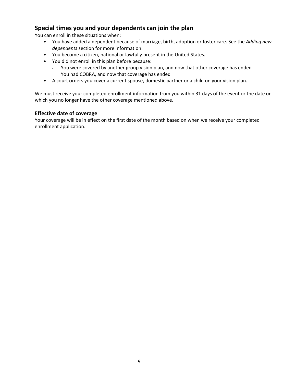# **Special times you and your dependents can join the plan**

You can enroll in these situations when:

- You have added a dependent because of marriage, birth, adoption or foster care. See the *Adding new dependents* section for more information.
- You become a citizen, national or lawfully present in the United States.
- You did not enroll in this plan before because:
	- You were covered by another group vision plan, and now that other coverage has ended
	- You had COBRA, and now that coverage has ended
- A court orders you cover a current spouse, domestic partner or a child on your vision plan.

We must receive your completed enrollment information from you within 31 days of the event or the date on which you no longer have the other coverage mentioned above.

### **Effective date of coverage**

Your coverage will be in effect on the first date of the month based on when we receive your completed enrollment application.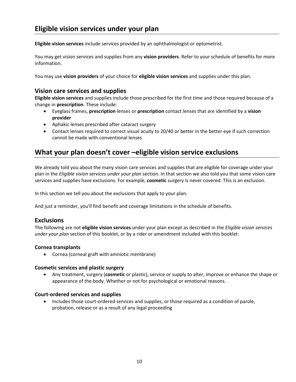**Eligible vision services** include services provided by an ophthalmologist or optometrist.

You may get vision services and supplies from any **vision providers**. Refer to your schedule of benefits for more information.

You may use **vision providers** of your choice for **eligible vision services** and supplies under this plan.

# **Vision care services and supplies**

**Eligible vision services** and supplies include those prescribed for the first time and those required because of a change in **prescription**. These include:

- Eyeglass frames, **prescription** lenses or **prescription** contact lenses that are identified by a **vision provider**
- Aphakic lenses prescribed after cataract surgery
- Contact lenses required to correct visual acuity to 20/40 or better in the better eye if such correction cannot be made with conventional lenses

# **What your plan doesn't cover –eligible vision service exclusions**

We already told you about the many vision care services and supplies that are eligible for coverage under your plan in the *Eligible vision services under your plan* section. In that section we also told you that some vision care services and supplies have exclusions. For example, **cosmetic** surgery is never covered. This is an exclusion.

In this section we tell you about the exclusions that apply to your plan.

And just a reminder, you'll find benefit and coverage limitations in the schedule of benefits.

# **Exclusions**

The following are not **eligible vision services** under your plan except as described in the *Eligible vision services under your plan* section of this booklet, or by a rider or amendment included with this booklet:

### **Cornea transplants**

Cornea (corneal graft with amniotic membrane)

### **Cosmetic services and plastic surgery**

 Any treatment, surgery (**cosmetic** or plastic), service or supply to alter, improve or enhance the shape or appearance of the body. Whether or not for psychological or emotional reasons.

### **Court-ordered services and supplies**

• Includes those court-ordered services and supplies, or those required as a condition of parole, probation, release or as a result of any legal proceeding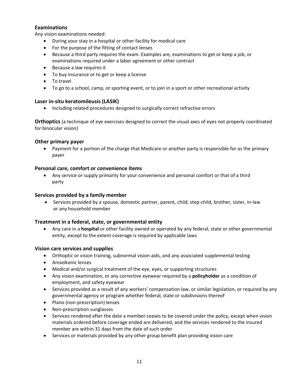### **Examinations**

Any vision examinations needed:

- During your stay in a hospital or other facility for medical care
- For the purpose of the fitting of contact lenses
- Because a third party requires the exam. Examples are, examinations to get or keep a job, or examinations required under a labor agreement or other contract
- Because a law requires it
- To buy insurance or to get or keep a license
- To travel
- To go to a school, camp, or sporting event, or to join in a sport or other recreational activity

#### **Laser in-situ keratomileusis (LASIK)**

Including related procedures designed to surgically correct refractive errors

**Orthoptics** (a technique of eye exercises designed to correct the visual axes of eyes not properly coordinated for binocular vision)

#### **Other primary payer**

• Payment for a portion of the charge that Medicare or another party is responsible for as the primary payer

#### **Personal care, comfort or convenience items**

 Any service or supply primarily for your convenience and personal comfort or that of a third party

#### **Services provided by a family member**

 Services provided by a spouse, domestic partner, parent, child, step-child, brother, sister, in-law or any household member

### **Treatment in a federal, state, or governmental entity**

 Any care in a **hospital** or other facility owned or operated by any federal, state or other governmental entity, except to the extent coverage is required by applicable laws

#### **Vision care services and supplies**

- Orthoptic or vision training, subnormal vision aids, and any associated supplemental testing
- Aniseikonic lenses
- Medical and/or surgical treatment of the eye, eyes, or supporting structures
- Any vision examination, or any corrective eyewear required by a **policyholder** as a condition of employment, and safety eyewear
- Services provided as a result of any workers' compensation law, or similar legislation, or required by any governmental agency or program whether federal, state or subdivisions thereof
- Plano (non-prescription) lenses
- Non-prescription sunglasses
- Services rendered after the date a member ceases to be covered under the policy, except when vision materials ordered before coverage ended are delivered, and the services rendered to the insured member are within 31 days from the date of such order
- Services or materials provided by any other group benefit plan providing vision care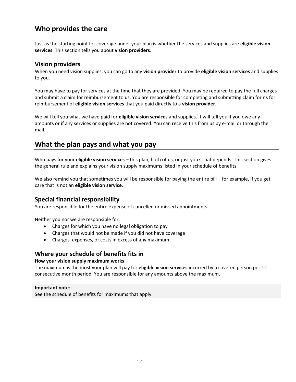# **Who provides the care**

Just as the starting point for coverage under your plan is whether the services and supplies are **eligible vision services**. This section tells you about **vision providers**.

### **Vision providers**

When you need vision supplies, you can go to any **vision provider** to provide **eligible vision services** and supplies to you.

You may have to pay for services at the time that they are provided. You may be required to pay the full charges and submit a claim for reimbursement to us. You are responsible for completing and submitting claim forms for reimbursement of **eligible vision services** that you paid directly to a **vision provider**.

We will tell you what we have paid for **eligible vision services** and supplies. It will tell you if you owe any amounts or if any services or supplies are not covered. You can receive this from us by e-mail or through the mail.

# **What the plan pays and what you pay**

Who pays for your **eligible vision services** – this plan, both of us, or just you? That depends. This section gives the general rule and explains your vision supply maximums listed in your schedule of benefits

We also remind you that sometimes you will be responsible for paying the entire bill – for example, if you get care that is not an **eligible vision service**.

# **Special financial responsibility**

You are responsible for the entire expense of cancelled or missed appointments

Neither you nor we are responsible for:

- Charges for which you have no legal obligation to pay
- Charges that would not be made if you did not have coverage
- Charges, expenses, or costs in excess of any maximum

# **Where your schedule of benefits fits in**

#### **How your vision supply maximum works**

The maximum is the most your plan will pay for **eligible vision services** incurred by a covered person per 12 consecutive month period. You are responsible for any amounts above the maximum.

#### **Important note**:

See the schedule of benefits for maximums that apply.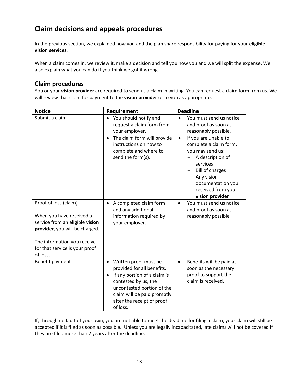In the previous section, we explained how you and the plan share responsibility for paying for your **eligible vision services**.

When a claim comes in, we review it, make a decision and tell you how you and we will split the expense. We also explain what you can do if you think we got it wrong.

# **Claim procedures**

You or your **vision provider** are required to send us a claim in writing. You can request a claim form from us. We will review that claim for payment to the **vision provider** or to you as appropriate.

| <b>Notice</b>                                                                                                                                                                                       | Requirement                                                                                                                                                                                                                                  | <b>Deadline</b>                                                                                                                                                                                                                                                                                  |
|-----------------------------------------------------------------------------------------------------------------------------------------------------------------------------------------------------|----------------------------------------------------------------------------------------------------------------------------------------------------------------------------------------------------------------------------------------------|--------------------------------------------------------------------------------------------------------------------------------------------------------------------------------------------------------------------------------------------------------------------------------------------------|
| Submit a claim                                                                                                                                                                                      | You should notify and<br>$\bullet$<br>request a claim form from<br>your employer.<br>The claim form will provide<br>$\bullet$<br>instructions on how to<br>complete and where to<br>send the form(s).                                        | You must send us notice<br>and proof as soon as<br>reasonably possible.<br>If you are unable to<br>$\bullet$<br>complete a claim form,<br>you may send us:<br>A description of<br>services<br><b>Bill of charges</b><br>Any vision<br>documentation you<br>received from your<br>vision provider |
| Proof of loss (claim)<br>When you have received a<br>service from an eligible vision<br>provider, you will be charged.<br>The information you receive<br>for that service is your proof<br>of loss. | A completed claim form<br>$\bullet$<br>and any additional<br>information required by<br>your employer.                                                                                                                                       | You must send us notice<br>$\bullet$<br>and proof as soon as<br>reasonably possible                                                                                                                                                                                                              |
| Benefit payment                                                                                                                                                                                     | Written proof must be<br>$\bullet$<br>provided for all benefits.<br>If any portion of a claim is<br>$\bullet$<br>contested by us, the<br>uncontested portion of the<br>claim will be paid promptly<br>after the receipt of proof<br>of loss. | Benefits will be paid as<br>$\bullet$<br>soon as the necessary<br>proof to support the<br>claim is received.                                                                                                                                                                                     |

If, through no fault of your own, you are not able to meet the deadline for filing a claim, your claim will still be accepted if it is filed as soon as possible. Unless you are legally incapacitated, late claims will not be covered if they are filed more than 2 years after the deadline.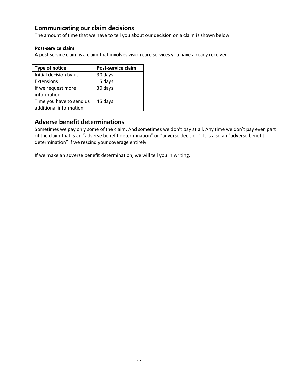# **Communicating our claim decisions**

The amount of time that we have to tell you about our decision on a claim is shown below.

#### **Post-service claim**

A post service claim is a claim that involves vision care services you have already received.

| <b>Type of notice</b>    | Post-service claim |
|--------------------------|--------------------|
| Initial decision by us   | 30 days            |
| Extensions               | 15 days            |
| If we request more       | 30 days            |
| information              |                    |
| Time you have to send us | 45 days            |
| additional information   |                    |

# **Adverse benefit determinations**

Sometimes we pay only some of the claim. And sometimes we don't pay at all. Any time we don't pay even part of the claim that is an "adverse benefit determination" or "adverse decision". It is also an "adverse benefit determination" if we rescind your coverage entirely.

If we make an adverse benefit determination, we will tell you in writing.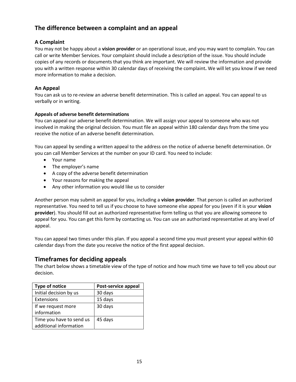# **The difference between a complaint and an appeal**

### **A Complaint**

You may not be happy about a **vision provider** or an operational issue, and you may want to complain. You can call or write Member Services. Your complaint should include a description of the issue. You should include copies of any records or documents that you think are important. We will review the information and provide you with a written response within 30 calendar days of receiving the complaint**.** We will let you know if we need more information to make a decision.

### **An Appeal**

You can ask us to re-review an adverse benefit determination. This is called an appeal. You can appeal to us verbally or in writing.

### **Appeals of adverse benefit determinations**

You can appeal our adverse benefit determination. We will assign your appeal to someone who was not involved in making the original decision. You must file an appeal within 180 calendar days from the time you receive the notice of an adverse benefit determination.

You can appeal by sending a written appeal to the address on the notice of adverse benefit determination. Or you can call Member Services at the number on your ID card. You need to include:

- Your name
- The employer's name
- A copy of the adverse benefit determination
- Your reasons for making the appeal
- Any other information you would like us to consider

Another person may submit an appeal for you, including a **vision provider**. That person is called an authorized representative. You need to tell us if you choose to have someone else appeal for you (even if it is your **vision provider**). You should fill out an authorized representative form telling us that you are allowing someone to appeal for you. You can get this form by contacting us. You can use an authorized representative at any level of appeal.

You can appeal two times under this plan. If you appeal a second time you must present your appeal within 60 calendar days from the date you receive the notice of the first appeal decision.

# **Timeframes for deciding appeals**

The chart below shows a timetable view of the type of notice and how much time we have to tell you about our decision.

| Type of notice           | Post-service appeal |
|--------------------------|---------------------|
| Initial decision by us   | 30 days             |
| Extensions               | 15 days             |
| If we request more       | 30 days             |
| information              |                     |
| Time you have to send us | 45 days             |
| additional information   |                     |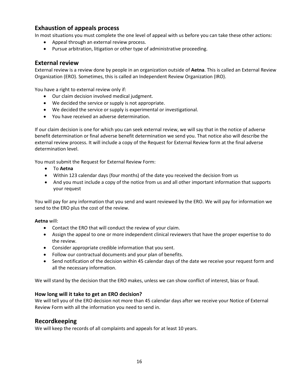# **Exhaustion of appeals process**

In most situations you must complete the one level of appeal with us before you can take these other actions:

- Appeal through an external review process.
- Pursue arbitration, litigation or other type of administrative proceeding.

#### **External review**

External review is a review done by people in an organization outside of **Aetna**. This is called an External Review Organization (ERO). Sometimes, this is called an Independent Review Organization (IRO).

You have a right to external review only if:

- Our claim decision involved medical judgment.
- We decided the service or supply is not appropriate.
- We decided the service or supply is experimental or investigational.
- You have received an adverse determination.

If our claim decision is one for which you can seek external review, we will say that in the notice of adverse benefit determination or final adverse benefit determination we send you. That notice also will describe the external review process. It will include a copy of the Request for External Review form at the final adverse determination level.

You must submit the Request for External Review Form:

- To **Aetna**
- Within 123 calendar days (four months) of the date you received the decision from us
- And you must include a copy of the notice from us and all other important information that supports your request

You will pay for any information that you send and want reviewed by the ERO. We will pay for information we send to the ERO plus the cost of the review.

#### **Aetna** will:

- Contact the ERO that will conduct the review of your claim.
- Assign the appeal to one or more independent clinical reviewers that have the proper expertise to do the review.
- Consider appropriate credible information that you sent.
- Follow our contractual documents and your plan of benefits.
- Send notification of the decision within 45 calendar days of the date we receive your request form and all the necessary information.

We will stand by the decision that the ERO makes, unless we can show conflict of interest, bias or fraud.

#### **How long will it take to get an ERO decision?**

We will tell you of the ERO decision not more than 45 calendar days after we receive your Notice of External Review Form with all the information you need to send in.

### **Recordkeeping**

We will keep the records of all complaints and appeals for at least 10 years.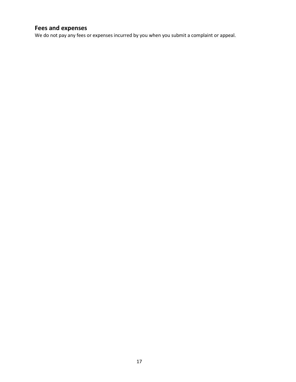# **Fees and expenses**

We do not pay any fees or expenses incurred by you when you submit a complaint or appeal.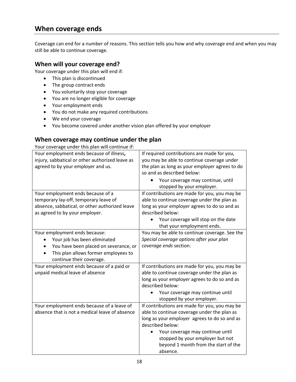# **When coverage ends**

Coverage can end for a number of reasons. This section tells you how and why coverage end and when you may still be able to continue coverage.

# **When will your coverage end?**

Your coverage under this plan will end if:

- This plan is discontinued
- The group contract ends
- You voluntarily stop your coverage
- You are no longer eligible for coverage
- Your employment ends
- You do not make any required contributions
- We end your coverage
- You become covered under another vision plan offered by your employer

# **When coverage may continue under the plan**

Your coverage under this plan will continue if:

| Your employment ends because of illness,<br>injury, sabbatical or other authorized leave as<br>agreed to by your employer and us. | If required contributions are made for you,<br>you may be able to continue coverage under<br>the plan as long as your employer agrees to do |
|-----------------------------------------------------------------------------------------------------------------------------------|---------------------------------------------------------------------------------------------------------------------------------------------|
|                                                                                                                                   | so and as described below:                                                                                                                  |
|                                                                                                                                   | Your coverage may continue, until<br>stopped by your employer.                                                                              |
| Your employment ends because of a                                                                                                 | If contributions are made for you, you may be                                                                                               |
| temporary lay-off, temporary leave of                                                                                             | able to continue coverage under the plan as                                                                                                 |
| absence, sabbatical, or other authorized leave                                                                                    | long as your employer agrees to do so and as                                                                                                |
| as agreed to by your employer.                                                                                                    | described below:                                                                                                                            |
|                                                                                                                                   | Your coverage will stop on the date                                                                                                         |
|                                                                                                                                   | that your employment ends.                                                                                                                  |
| Your employment ends because:                                                                                                     | You may be able to continue coverage. See the                                                                                               |
| Your job has been eliminated                                                                                                      | Special coverage options after your plan                                                                                                    |
| You have been placed on severance, or                                                                                             | coverage ends section.                                                                                                                      |
| This plan allows former employees to                                                                                              |                                                                                                                                             |
| continue their coverage.                                                                                                          |                                                                                                                                             |
| Your employment ends because of a paid or                                                                                         | If contributions are made for you, you may be                                                                                               |
| unpaid medical leave of absence                                                                                                   | able to continue coverage under the plan as                                                                                                 |
|                                                                                                                                   | long as your employer agrees to do so and as                                                                                                |
|                                                                                                                                   | described below:                                                                                                                            |
|                                                                                                                                   | Your coverage may continue until                                                                                                            |
|                                                                                                                                   | stopped by your employer.                                                                                                                   |
| Your employment ends because of a leave of                                                                                        | If contributions are made for you, you may be                                                                                               |
| absence that is not a medical leave of absence                                                                                    | able to continue coverage under the plan as                                                                                                 |
|                                                                                                                                   | long as your employer agrees to do so and as                                                                                                |
|                                                                                                                                   | described below:                                                                                                                            |
|                                                                                                                                   | Your coverage may continue until                                                                                                            |
|                                                                                                                                   | stopped by your employer but not                                                                                                            |
|                                                                                                                                   | beyond 1 month from the start of the                                                                                                        |
|                                                                                                                                   | absence.                                                                                                                                    |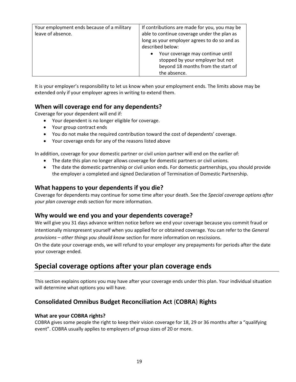| Your employment ends because of a military<br>leave of absence. | If contributions are made for you, you may be<br>able to continue coverage under the plan as<br>long as your employer agrees to do so and as<br>described below: |
|-----------------------------------------------------------------|------------------------------------------------------------------------------------------------------------------------------------------------------------------|
|                                                                 | Your coverage may continue until<br>$\bullet$<br>stopped by your employer but not<br>beyond 18 months from the start of<br>the absence.                          |

It is your employer's responsibility to let us know when your employment ends. The limits above may be extended only if your employer agrees in writing to extend them.

# **When will coverage end for any dependents?**

Coverage for your dependent will end if:

- Your dependent is no longer eligible for coverage.
- Your group contract ends
- You do not make the required contribution toward the cost of dependents' coverage.
- Your coverage ends for any of the reasons listed above

In addition, coverage for your domestic partner or civil union partner will end on the earlier of:

- The date this plan no longer allows coverage for domestic partners or civil unions.
- The date the domestic partnership or civil union ends. For domestic partnerships, you should provide the employer a completed and signed Declaration of Termination of Domestic Partnership.

# **What happens to your dependents if you die?**

Coverage for dependents may continue for some time after your death. See the *Special coverage options after your plan coverage ends* section for more information.

# **Why would we end you and your dependents coverage?**

We will give you 31 days advance written notice before we end your coverage because you commit fraud or intentionally misrepresent yourself when you applied for or obtained coverage. You can refer to the *General provisions – other things you should know* section for more information on rescissions.

On the date your coverage ends, we will refund to your employer any prepayments for periods after the date your coverage ended.

# **Special coverage options after your plan coverage ends**

This section explains options you may have after your coverage ends under this plan. Your individual situation will determine what options you will have.

# **Consolidated Omnibus Budget Reconciliation Act** (**COBRA**) **Rights**

### **What are your COBRA rights?**

COBRA gives some people the right to keep their vision coverage for 18, 29 or 36 months after a "qualifying event". COBRA usually applies to employers of group sizes of 20 or more.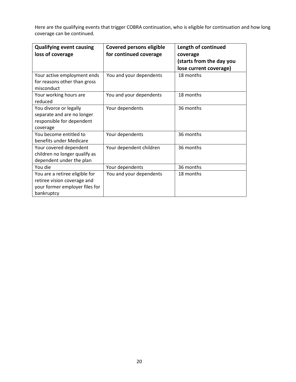Here are the qualifying events that trigger COBRA continuation, who is eligible for continuation and how long coverage can be continued.

| <b>Qualifying event causing</b><br>loss of coverage                                                           | <b>Covered persons eligible</b><br>for continued coverage | Length of continued<br>coverage<br>(starts from the day you<br>lose current coverage) |
|---------------------------------------------------------------------------------------------------------------|-----------------------------------------------------------|---------------------------------------------------------------------------------------|
| Your active employment ends<br>for reasons other than gross<br>misconduct                                     | You and your dependents                                   | 18 months                                                                             |
| Your working hours are<br>reduced                                                                             | You and your dependents                                   | 18 months                                                                             |
| You divorce or legally<br>separate and are no longer<br>responsible for dependent<br>coverage                 | Your dependents                                           | 36 months                                                                             |
| You become entitled to<br>benefits under Medicare                                                             | Your dependents                                           | 36 months                                                                             |
| Your covered dependent<br>children no longer qualify as<br>dependent under the plan                           | Your dependent children                                   | 36 months                                                                             |
| You die                                                                                                       | Your dependents                                           | 36 months                                                                             |
| You are a retiree eligible for<br>retiree vision coverage and<br>your former employer files for<br>bankruptcy | You and your dependents                                   | 18 months                                                                             |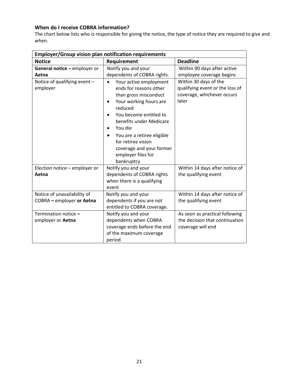# **When do I receive COBRA information?**

The chart below lists who is responsible for giving the notice, the type of notice they are required to give and when.

| <b>Employer/Group vision plan notification requirements</b> |                                                                                                                                                                                                                                                                                                                                                |                                                                                                 |  |
|-------------------------------------------------------------|------------------------------------------------------------------------------------------------------------------------------------------------------------------------------------------------------------------------------------------------------------------------------------------------------------------------------------------------|-------------------------------------------------------------------------------------------------|--|
| <b>Notice</b>                                               | Requirement                                                                                                                                                                                                                                                                                                                                    | <b>Deadline</b>                                                                                 |  |
| General notice - employer or                                | Notify you and your                                                                                                                                                                                                                                                                                                                            | Within 90 days after active                                                                     |  |
| Aetna                                                       | dependents of COBRA rights.                                                                                                                                                                                                                                                                                                                    | employee coverage begins                                                                        |  |
| Notice of qualifying event -<br>employer                    | Your active employment<br>$\bullet$<br>ends for reasons other<br>than gross misconduct<br>Your working hours are<br>$\bullet$<br>reduced<br>You become entitled to<br>benefits under Medicare<br>You die<br>$\bullet$<br>You are a retiree eligible<br>٠<br>for retiree vision<br>coverage and your former<br>employer files for<br>bankruptcy | Within 30 days of the<br>qualifying event or the loss of<br>coverage, whichever occurs<br>later |  |
| Election notice - employer or<br>Aetna                      | Notify you and your<br>dependents of COBRA rights<br>when there is a qualifying<br>event                                                                                                                                                                                                                                                       | Within 14 days after notice of<br>the qualifying event                                          |  |
| Notice of unavailability of<br>COBRA - employer or Aetna    | Notify you and your<br>dependents if you are not<br>entitled to COBRA coverage.                                                                                                                                                                                                                                                                | Within 14 days after notice of<br>the qualifying event                                          |  |
| Termination notice -<br>employer or Aetna                   | Notify you and your<br>dependents when COBRA<br>coverage ends before the end<br>of the maximum coverage<br>period                                                                                                                                                                                                                              | As soon as practical following<br>the decision that continuation<br>coverage will end           |  |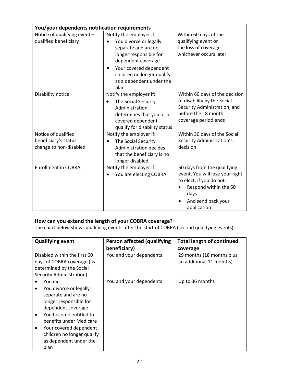| You/your dependents notification requirements                         |                                                                                                                                                                                                                                                |                                                                                                                                                                  |  |
|-----------------------------------------------------------------------|------------------------------------------------------------------------------------------------------------------------------------------------------------------------------------------------------------------------------------------------|------------------------------------------------------------------------------------------------------------------------------------------------------------------|--|
| Notice of qualifying event -<br>qualified beneficiary                 | Notify the employer if:<br>You divorce or legally<br>$\bullet$<br>separate and are no<br>longer responsible for<br>dependent coverage<br>Your covered dependent<br>$\bullet$<br>children no longer qualify<br>as a dependent under the<br>plan | Within 60 days of the<br>qualifying event or<br>the loss of coverage,<br>whichever occurs later                                                                  |  |
| Disability notice                                                     | Notify the employer if:<br>The Social Security<br>$\bullet$<br>Administration<br>determines that you or a<br>covered dependent<br>qualify for disability status                                                                                | Within 60 days of the decision<br>of disability by the Social<br>Security Administration, and<br>before the 18 month<br>coverage period ends                     |  |
| Notice of qualified<br>beneficiary's status<br>change to non-disabled | Notify the employer if:<br>The Social Security<br>$\bullet$<br>Administration decides<br>that the beneficiary is no<br>longer disabled                                                                                                         | Within 30 days of the Social<br><b>Security Administration's</b><br>decision                                                                                     |  |
| <b>Enrollment in COBRA</b>                                            | Notify the employer if:<br>You are electing COBRA                                                                                                                                                                                              | 60 days from the qualifying<br>event. You will lose your right<br>to elect, if you do not:<br>Respond within the 60<br>days<br>And send back your<br>application |  |

# **How can you extend the length of your COBRA coverage?**

The chart below shows qualifying events after the start of COBRA (second qualifying events):

| <b>Qualifying event</b>      | Person affected (qualifying | <b>Total length of continued</b> |
|------------------------------|-----------------------------|----------------------------------|
|                              | beneficiary)                | coverage                         |
| Disabled within the first 60 | You and your dependents     | 29 months (18 months plus        |
| days of COBRA coverage (as   |                             | an additional 11 months)         |
| determined by the Social     |                             |                                  |
| Security Administration)     |                             |                                  |
| You die                      | You and your dependents     | Up to 36 months                  |
| You divorce or legally       |                             |                                  |
| separate and are no          |                             |                                  |
| longer responsible for       |                             |                                  |
| dependent coverage           |                             |                                  |
| You become entitled to       |                             |                                  |
| benefits under Medicare      |                             |                                  |
| Your covered dependent       |                             |                                  |
| children no longer qualify   |                             |                                  |
| as dependent under the       |                             |                                  |
| plan                         |                             |                                  |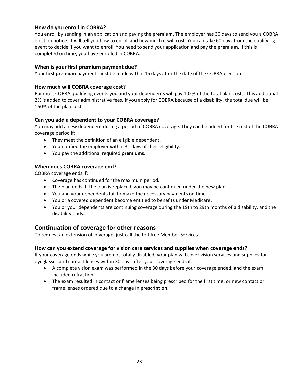### **How do you enroll in COBRA?**

You enroll by sending in an application and paying the **premium**. The employer has 30 days to send you a COBRA election notice. It will tell you how to enroll and how much it will cost. You can take 60 days from the qualifying event to decide if you want to enroll. You need to send your application and pay the **premium**. If this is completed on time, you have enrolled in COBRA.

#### **When is your first premium payment due?**

Your first **premium** payment must be made within 45 days after the date of the COBRA election.

#### **How much will COBRA coverage cost?**

For most COBRA qualifying events you and your dependents will pay 102% of the total plan costs. This additional 2% is added to cover administrative fees. If you apply for COBRA because of a disability, the total due will be 150% of the plan costs.

#### **Can you add a dependent to your COBRA coverage?**

You may add a new dependent during a period of COBRA coverage. They can be added for the rest of the COBRA coverage period if:

- They meet the definition of an eligible dependent.
- You notified the employer within 31 days of their eligibility.
- You pay the additional required **premiums**.

#### **When does COBRA coverage end?**

COBRA coverage ends if:

- Coverage has continued for the maximum period.
- The plan ends. If the plan is replaced, you may be continued under the new plan.
- You and your dependents fail to make the necessary payments on time.
- You or a covered dependent become entitled to benefits under Medicare.
- You or your dependents are continuing coverage during the 19th to 29th months of a disability, and the disability ends.

# **Continuation of coverage for other reasons**

To request an extension of coverage**,** just call the toll-free Member Services.

### **How can you extend coverage for vision care services and supplies when coverage ends?**

If your coverage ends while you are not totally disabled**,** your plan will cover vision services and supplies for eyeglasses and contact lenses within 30 days after your coverage ends if:

- A complete vision exam was performed in the 30 days before your coverage ended, and the exam included refraction.
- The exam resulted in contact or frame lenses being prescribed for the first time, or new contact or frame lenses ordered due to a change in **prescription**.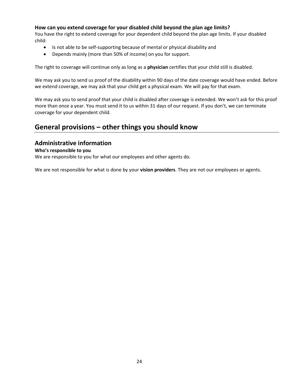### **How can you extend coverage for your disabled child beyond the plan age limits?**

You have the right to extend coverage for your dependent child beyond the plan age limits. If your disabled child:

- Is not able to be self-supporting because of mental or physical disability and
- Depends mainly (more than 50% of income) on you for support.

The right to coverage will continue only as long as a **physician** certifies that your child still is disabled.

We may ask you to send us proof of the disability within 90 days of the date coverage would have ended. Before we extend coverage, we may ask that your child get a physical exam. We will pay for that exam.

We may ask you to send proof that your child is disabled after coverage is extended. We won't ask for this proof more than once a year. You must send it to us within 31 days of our request. If you don't, we can terminate coverage for your dependent child.

# **General provisions – other things you should know**

### **Administrative information**

#### **Who's responsible to you**

We are responsible to you for what our employees and other agents do.

We are not responsible for what is done by your **vision providers**. They are not our employees or agents.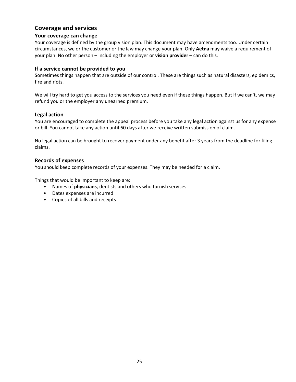# **Coverage and services**

### **Your coverage can change**

Your coverage is defined by the group vision plan. This document may have amendments too. Under certain circumstances, we or the customer or the law may change your plan. Only **Aetna** may waive a requirement of your plan. No other person – including the employer or **vision provider** – can do this.

#### **If a service cannot be provided to you**

Sometimes things happen that are outside of our control. These are things such as natural disasters, epidemics, fire and riots.

We will try hard to get you access to the services you need even if these things happen. But if we can't, we may refund you or the employer any unearned premium.

#### **Legal action**

You are encouraged to complete the appeal process before you take any legal action against us for any expense or bill. You cannot take any action until 60 days after we receive written submission of claim.

No legal action can be brought to recover payment under any benefit after 3 years from the deadline for filing claims.

#### **Records of expenses**

You should keep complete records of your expenses. They may be needed for a claim.

Things that would be important to keep are:

- Names of **physicians**, dentists and others who furnish services
- Dates expenses are incurred
- Copies of all bills and receipts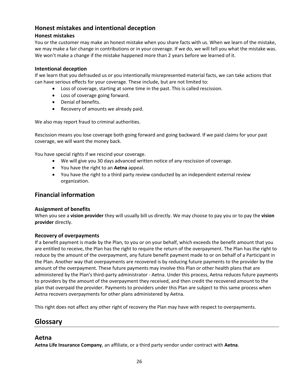# **Honest mistakes and intentional deception**

# **Honest mistakes**

You or the customer may make an honest mistake when you share facts with us. When we learn of the mistake, we may make a fair change in contributions or in your coverage. If we do, we will tell you what the mistake was. We won't make a change if the mistake happened more than 2 years before we learned of it.

### **Intentional deception**

If we learn that you defrauded us or you intentionally misrepresented material facts, we can take actions that can have serious effects for your coverage. These include, but are not limited to:

- Loss of coverage, starting at some time in the past. This is called rescission.
- Loss of coverage going forward.
- Denial of benefits.
- Recovery of amounts we already paid.

We also may report fraud to criminal authorities.

Rescission means you lose coverage both going forward and going backward. If we paid claims for your past coverage, we will want the money back.

You have special rights if we rescind your coverage.

- We will give you 30 days advanced written notice of any rescission of coverage.
- You have the right to an **Aetna** appeal.
- You have the right to a third party review conducted by an independent external review organization.

# **Financial information**

### **Assignment of benefits**

When you see a **vision provider** they will usually bill us directly. We may choose to pay you or to pay the **vision provider** directly.

### **Recovery of overpayments**

If a benefit payment is made by the Plan, to you or on your behalf, which exceeds the benefit amount that you are entitled to receive, the Plan has the right to require the return of the overpayment. The Plan has the right to reduce by the amount of the overpayment, any future benefit payment made to or on behalf of a Participant in the Plan. Another way that overpayments are recovered is by reducing future payments to the provider by the amount of the overpayment. These future payments may involve this Plan or other health plans that are administered by the Plan's third-party administrator - Aetna. Under this process, Aetna reduces future payments to providers by the amount of the overpayment they received, and then credit the recovered amount to the plan that overpaid the provider. Payments to providers under this Plan are subject to this same process when Aetna recovers overpayments for other plans administered by Aetna.

This right does not affect any other right of recovery the Plan may have with respect to overpayments.

# **Glossary**

# **Aetna**

**Aetna Life Insurance Company**, an affiliate, or a third party vendor under contract with **Aetna**.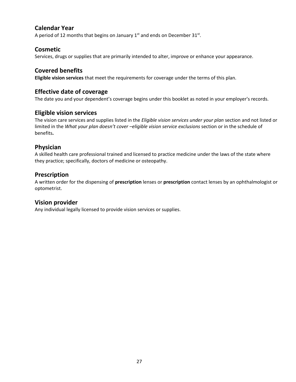# **Calendar Year**

A period of 12 months that begins on January 1<sup>st</sup> and ends on December 31<sup>st</sup>.

### **Cosmetic**

Services, drugs or supplies that are primarily intended to alter, improve or enhance your appearance.

# **Covered benefits**

**Eligible vision services** that meet the requirements for coverage under the terms of this plan.

# **Effective date of coverage**

The date you and your dependent's coverage begins under this booklet as noted in your employer's records.

# **Eligible vision services**

The vision care services and supplies listed in the *Eligible vision services under your plan* section and not listed or limited in the *What your plan doesn't cover –eligible vision service exclusions* section or in the schedule of benefits**.**

# **Physician**

A skilled health care professional trained and licensed to practice medicine under the laws of the state where they practice; specifically, doctors of medicine or osteopathy.

# **Prescription**

A written order for the dispensing of **prescription** lenses or **prescription** contact lenses by an ophthalmologist or optometrist.

# **Vision provider**

Any individual legally licensed to provide vision services or supplies.